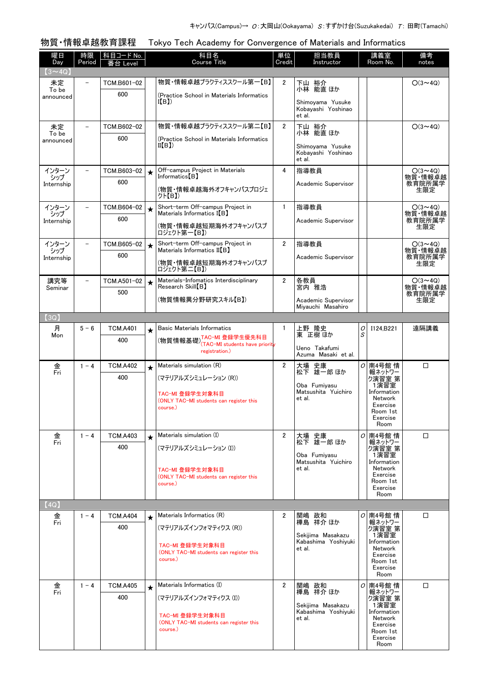物質・情報卓越教育課程 Tokyo Tech Academy for Convergence of Materials and Informatics

| 曜日<br>Day         | 時限<br>Period             | 科目コード No.<br>番台 Level |         | 科目名<br><b>Course Title</b>                                                                      | 単位<br>Credit   | 担当教員<br>Instructor                                 |        | 講義室<br>Room No.                                                              | 備考<br>notes               |
|-------------------|--------------------------|-----------------------|---------|-------------------------------------------------------------------------------------------------|----------------|----------------------------------------------------|--------|------------------------------------------------------------------------------|---------------------------|
| $(3 \sim 4Q)$     |                          |                       |         |                                                                                                 |                |                                                    |        |                                                                              |                           |
| 未定<br>To be       | $\overline{\phantom{0}}$ | TCM.B601-02           |         | 物質・情報卓越プラクティススクール第一【B】                                                                          | $\overline{2}$ | 下山 裕介<br>小林 能直ほか                                   |        |                                                                              | $O(3 \sim 4Q)$            |
| announced         |                          | 600                   |         | (Practice School in Materials Informatics<br>I(B)                                               |                | Shimoyama Yusuke<br>Kobayashi Yoshinao<br>et al.   |        |                                                                              |                           |
| 未定<br>To be       |                          | TCM.B602-02           |         | 物質・情報卓越プラクティススクール第二【B】                                                                          | $\overline{2}$ | 下山 裕介<br>小林 能直ほか                                   |        |                                                                              | $O(3 \sim 4Q)$            |
| announced         |                          | 600                   |         | (Practice School in Materials Informatics<br>II(B)                                              |                | Shimoyama Yusuke<br>Kobayashi Yoshinao<br>et al.   |        |                                                                              |                           |
| インターン             |                          | TCM.B603-02           | $\star$ | Off-campus Project in Materials                                                                 | 4              | 指導教員                                               |        |                                                                              | $O(3 \sim 4Q)$            |
| シップ<br>Internship |                          | 600                   |         | $Informatics [B](物質・情報卓越海外オフキャンパスプロジェグト【B】)$                                                    |                | Academic Supervisor                                |        |                                                                              | 物質·情報卓越<br>教育院所属学<br>生限定  |
| インターン             |                          | TCM.B604-02           | $\star$ | Short-term Off-campus Project in                                                                | $\mathbf{1}$   | 指導教員                                               |        |                                                                              | $O(3 \sim 4Q)$            |
| シップ<br>Internship |                          | 600                   |         | Materials Informatics I(B)<br>(物質・情報卓越短期海外オフキャンパスプ<br>ロジェクト第一【B】)                               |                | Academic Supervisor                                |        |                                                                              | 物質·情報卓越<br>教育院所属学<br>生限定  |
| インターン<br>シップ      |                          | TCM.B605-02           | $\star$ | Short-term Off-campus Project in<br>Materials Informatics II(B)                                 | $\overline{2}$ | 指導教員                                               |        |                                                                              | $O(3 \sim 4Q)$<br>物質·情報卓越 |
| Internship        |                          | 600                   |         | (物質・情報卓越短期海外オフキャンパスプ<br>ロジェクト第二【B】)                                                             |                | Academic Supervisor                                |        |                                                                              | 教育院所属学<br>生限定             |
| 講究等<br>Seminar    |                          | TCM.A501-02           | $\star$ | Materials-Infomatics Interdisciplinary<br>Research Skill [B]                                    | $\overline{2}$ | 各教員<br>宮内 雅浩                                       |        |                                                                              | $O(3 \sim 4Q)$<br>物質·情報卓越 |
|                   |                          | 500                   |         | (物質情報異分野研究スキル【B】)                                                                               |                | Academic Supervisor<br>Mivauchi Masahiro           |        |                                                                              | 教育院所属学<br>生限定             |
| (3Q)              |                          |                       |         |                                                                                                 |                |                                                    |        |                                                                              |                           |
| 月<br>Mon          | $5 - 6$                  | <b>TCM.A401</b>       | $\star$ | <b>Basic Materials Informatics</b><br>(物質情報基礎) <sup>TAC-MI</sup> 登録学生優先科目                       | $\mathbf{1}$   | 上野 隆史<br>東 正樹ほか                                    | 0<br>S | I124, B221                                                                   | 遠隔講義                      |
|                   |                          | 400                   |         | (TAC-MI students have priority<br>registration.)                                                |                | Ueno Takafumi<br>Azuma Masaki et al.               |        |                                                                              |                           |
| 金<br>Fri          | $1 - 4$                  | <b>TCM.A402</b>       | $\star$ | Materials simulation (R)                                                                        | $\overline{2}$ | 大場 史康<br>松下 雄一郎 ほか                                 |        | <i>O</i> 南4号館情                                                               | $\Box$                    |
|                   |                          | 400                   |         | (マテリアルズシミュレーション (R))                                                                            |                | Oba Fumiyasu                                       |        | - 報ネットワー<br>ク演習室 第<br>1 演習室                                                  |                           |
|                   |                          |                       |         | TAC-MI 登録学生対象科目<br>(ONLY TAC-MI students can register this<br>course.)                          |                | Matsushita Yuichiro<br>et al.                      |        | Information<br>Network<br>Exercise<br>Room 1st<br>Exercise<br>Room           |                           |
| 金<br>Fri          | $1 - 4$                  | <b>TCM.A403</b>       | $\star$ | Materials simulation (I)                                                                        | $\overline{2}$ | 大場 史康<br>松下 雄一郎 ほか                                 |        | $O$ 南4号館情<br>報ネットワー                                                          | $\Box$                    |
|                   |                          | 400                   |         | (マテリアルズシミュレーション (I))<br>TAC-MI 登録学生対象科目                                                         |                | Oba Fumivasu<br>Matsushita Yuichiro<br>et al.      |        | ク演習室 第<br>1演習室<br>Information<br>Network                                     |                           |
|                   |                          |                       |         | (ONLY TAC-MI students can register this<br>course.)                                             |                |                                                    |        | Exercise<br>Room 1st<br>Exercise<br>Room                                     |                           |
| (4Q)              |                          |                       |         |                                                                                                 |                |                                                    |        |                                                                              |                           |
| 金<br>Fri          | $1 - 4$                  | <b>TCM.A404</b>       | $\star$ | Materials Informatics (R)                                                                       | $\overline{2}$ | 関嶋 政和<br>樺島 祥介 ほか                                  |        | <i>O</i> 南4号館情<br>報ネットワー                                                     | □                         |
|                   |                          | 400                   |         | (マテリアルズインフォマティクス (R))                                                                           |                | Sekijima Masakazu                                  |        | ク演習室 第<br>1演習室                                                               |                           |
|                   |                          |                       |         | TAC-MI 登録学生対象科目<br>(ONLY TAC-MI students can register this<br>course.)                          |                | Kabashima Yoshivuki<br>et al.                      |        | Information<br>Network<br>Exercise<br>Room 1st<br>Exercise<br>Room           |                           |
| 金<br>Fri          | $1 - 4$                  | <b>TCM.A405</b>       | $\star$ | Materials Informatics (I)                                                                       | $\overline{2}$ | 関嶋 政和<br>樺島 祥介 ほか                                  |        | ○ 南4号館 情<br>報ネットワー                                                           | $\Box$                    |
|                   |                          | 400                   |         | (マテリアルズインフォマティクス (I))<br>TAC-MI 登録学生対象科目<br>(ONLY TAC-MI students can register this<br>course.) |                | Sekijima Masakazu<br>Kabashima Yoshiyuki<br>et al. |        | ク演習室 第<br>1演習室<br>Information<br>Network<br>Exercise<br>Room 1st<br>Exercise |                           |
|                   |                          |                       |         |                                                                                                 |                |                                                    |        | Room                                                                         |                           |